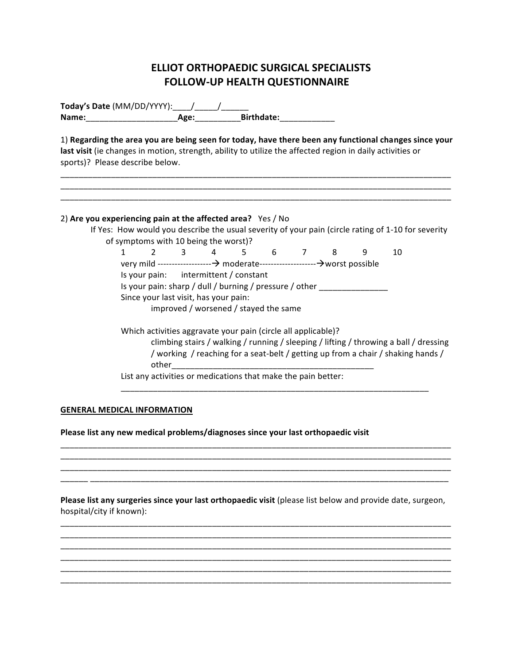# **ELLIOT ORTHOPAEDIC SURGICAL SPECIALISTS FOLLOW-UP HEALTH QUESTIONNAIRE**

**Today's Date** (MM/DD/YYYY):\_\_\_\_\_/\_\_\_\_\_\_/\_\_\_\_ **Name:**\_\_\_\_\_\_\_\_\_\_\_\_\_\_\_\_\_\_\_\_**Age:**\_\_\_\_\_\_\_\_\_\_**Birthdate:**\_\_\_\_\_\_\_\_\_\_\_\_

1) Regarding the area you are being seen for today, have there been any functional changes since your last visit (ie changes in motion, strength, ability to utilize the affected region in daily activities or sports)? Please describe below.

\_\_\_\_\_\_\_\_\_\_\_\_\_\_\_\_\_\_\_\_\_\_\_\_\_\_\_\_\_\_\_\_\_\_\_\_\_\_\_\_\_\_\_\_\_\_\_\_\_\_\_\_\_\_\_\_\_\_\_\_\_\_\_\_\_\_\_\_\_\_\_\_\_\_\_\_\_\_\_\_\_\_\_\_\_ \_\_\_\_\_\_\_\_\_\_\_\_\_\_\_\_\_\_\_\_\_\_\_\_\_\_\_\_\_\_\_\_\_\_\_\_\_\_\_\_\_\_\_\_\_\_\_\_\_\_\_\_\_\_\_\_\_\_\_\_\_\_\_\_\_\_\_\_\_\_\_\_\_\_\_\_\_\_\_\_\_\_\_\_\_  $\mathcal{L}_\mathcal{L} = \{ \mathcal{L}_\mathcal{L} = \{ \mathcal{L}_\mathcal{L} = \{ \mathcal{L}_\mathcal{L} = \{ \mathcal{L}_\mathcal{L} = \{ \mathcal{L}_\mathcal{L} = \{ \mathcal{L}_\mathcal{L} = \{ \mathcal{L}_\mathcal{L} = \{ \mathcal{L}_\mathcal{L} = \{ \mathcal{L}_\mathcal{L} = \{ \mathcal{L}_\mathcal{L} = \{ \mathcal{L}_\mathcal{L} = \{ \mathcal{L}_\mathcal{L} = \{ \mathcal{L}_\mathcal{L} = \{ \mathcal{L}_\mathcal{$ 

## 2) Are you experiencing pain at the affected area? Yes / No

If Yes: How would you describe the usual severity of your pain (circle rating of 1-10 for severity of symptoms with 10 being the worst)?

1 2 3 4 5 6 7 8 9 10 very 
mild 
-‐-‐-‐-‐-‐-‐-‐-‐-‐-‐-‐-‐-‐-‐-‐-‐-‐-‐-‐ 
moderate-‐-‐-‐-‐-‐-‐-‐-‐-‐-‐-‐-‐-‐-‐-‐-‐-‐-‐-‐-‐worst 
possible Is your pain: intermittent / constant Is your pain: sharp / dull / burning / pressure / other \_\_\_\_\_\_\_\_\_\_\_\_\_\_\_\_\_\_\_\_\_\_\_\_ Since your last visit, has your pain: improved / worsened / stayed the same

Which activities aggravate your pain (circle all applicable)?

climbing stairs / walking / running / sleeping / lifting / throwing a ball / dressing / working / reaching for a seat-belt / getting up from a chair / shaking hands / other

List any activities or medications that make the pain better:

## **GENERAL MEDICAL INFORMATION**

Please list any new medical problems/diagnoses since your last orthopaedic visit

**Please list any surgeries since your last orthopaedic visit** (please list below and provide date, surgeon, hospital/city if known):

\_\_\_\_\_\_\_\_\_\_\_\_\_\_\_\_\_\_\_\_\_\_\_\_\_\_\_\_\_\_\_\_\_\_\_\_\_\_\_\_\_\_\_\_\_\_\_\_\_\_\_\_\_\_\_\_\_\_\_\_\_\_\_\_\_\_\_\_\_\_\_\_\_\_\_\_\_\_\_\_\_\_\_\_\_  $\mathcal{L}_\mathcal{L} = \{ \mathcal{L}_\mathcal{L} = \{ \mathcal{L}_\mathcal{L} = \{ \mathcal{L}_\mathcal{L} = \{ \mathcal{L}_\mathcal{L} = \{ \mathcal{L}_\mathcal{L} = \{ \mathcal{L}_\mathcal{L} = \{ \mathcal{L}_\mathcal{L} = \{ \mathcal{L}_\mathcal{L} = \{ \mathcal{L}_\mathcal{L} = \{ \mathcal{L}_\mathcal{L} = \{ \mathcal{L}_\mathcal{L} = \{ \mathcal{L}_\mathcal{L} = \{ \mathcal{L}_\mathcal{L} = \{ \mathcal{L}_\mathcal{$  $\_$  , and the set of the set of the set of the set of the set of the set of the set of the set of the set of the set of the set of the set of the set of the set of the set of the set of the set of the set of the set of th  $\_$  , and the set of the set of the set of the set of the set of the set of the set of the set of the set of the set of the set of the set of the set of the set of the set of the set of the set of the set of the set of th \_\_\_\_\_\_\_\_\_\_\_\_\_\_\_\_\_\_\_\_\_\_\_\_\_\_\_\_\_\_\_\_\_\_\_\_\_\_\_\_\_\_\_\_\_\_\_\_\_\_\_\_\_\_\_\_\_\_\_\_\_\_\_\_\_\_\_\_\_\_\_\_\_\_\_\_\_\_\_\_\_\_\_\_\_ \_\_\_\_\_\_\_\_\_\_\_\_\_\_\_\_\_\_\_\_\_\_\_\_\_\_\_\_\_\_\_\_\_\_\_\_\_\_\_\_\_\_\_\_\_\_\_\_\_\_\_\_\_\_\_\_\_\_\_\_\_\_\_\_\_\_\_\_\_\_\_\_\_\_\_\_\_\_\_\_\_\_\_\_\_

 $\mathcal{L}_\mathcal{L} = \{ \mathcal{L}_\mathcal{L} = \{ \mathcal{L}_\mathcal{L} = \{ \mathcal{L}_\mathcal{L} = \{ \mathcal{L}_\mathcal{L} = \{ \mathcal{L}_\mathcal{L} = \{ \mathcal{L}_\mathcal{L} = \{ \mathcal{L}_\mathcal{L} = \{ \mathcal{L}_\mathcal{L} = \{ \mathcal{L}_\mathcal{L} = \{ \mathcal{L}_\mathcal{L} = \{ \mathcal{L}_\mathcal{L} = \{ \mathcal{L}_\mathcal{L} = \{ \mathcal{L}_\mathcal{L} = \{ \mathcal{L}_\mathcal{$  $\_$  , and the set of the set of the set of the set of the set of the set of the set of the set of the set of the set of the set of the set of the set of the set of the set of the set of the set of the set of the set of th  $\_$  , and the set of the set of the set of the set of the set of the set of the set of the set of the set of the set of the set of the set of the set of the set of the set of the set of the set of the set of the set of th \_\_\_\_\_\_ 
\_\_\_\_\_\_\_\_\_\_\_\_\_\_\_\_\_\_\_\_\_\_\_\_\_\_\_\_\_\_\_\_\_\_\_\_\_\_\_\_\_\_\_\_\_\_\_\_\_\_\_\_\_\_\_\_\_\_\_\_\_\_\_\_\_\_\_\_\_\_\_\_\_\_\_\_\_\_